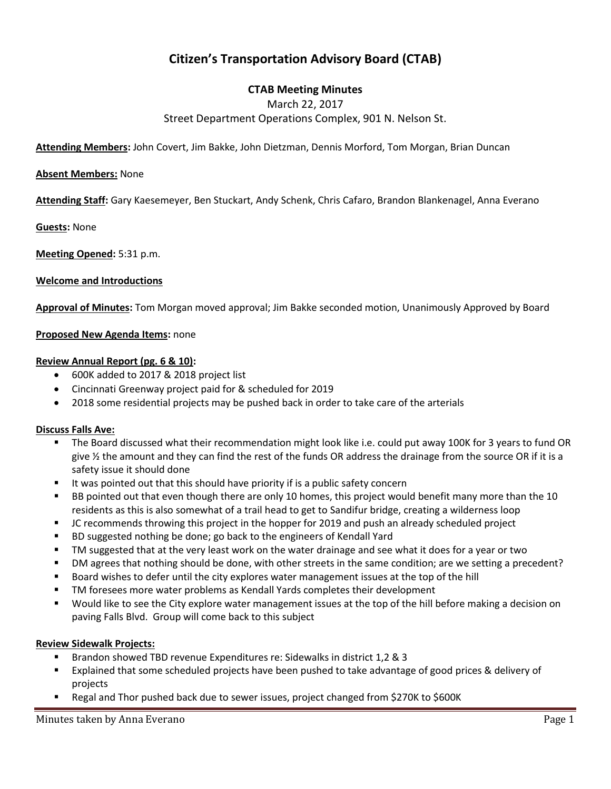# **Citizen's Transportation Advisory Board (CTAB)**

# **CTAB Meeting Minutes**

March 22, 2017

Street Department Operations Complex, 901 N. Nelson St.

**Attending Members:** John Covert, Jim Bakke, John Dietzman, Dennis Morford, Tom Morgan, Brian Duncan

#### **Absent Members:** None

**Attending Staff:** Gary Kaesemeyer, Ben Stuckart, Andy Schenk, Chris Cafaro, Brandon Blankenagel, Anna Everano

**Guests:** None

**Meeting Opened:** 5:31 p.m.

#### **Welcome and Introductions**

**Approval of Minutes:** Tom Morgan moved approval; Jim Bakke seconded motion, Unanimously Approved by Board

#### **Proposed New Agenda Items:** none

#### **Review Annual Report (pg. 6 & 10):**

- 600K added to 2017 & 2018 project list
- Cincinnati Greenway project paid for & scheduled for 2019
- 2018 some residential projects may be pushed back in order to take care of the arterials

#### **Discuss Falls Ave:**

- The Board discussed what their recommendation might look like i.e. could put away 100K for 3 years to fund OR give ½ the amount and they can find the rest of the funds OR address the drainage from the source OR if it is a safety issue it should done
- It was pointed out that this should have priority if is a public safety concern
- BB pointed out that even though there are only 10 homes, this project would benefit many more than the 10 residents as this is also somewhat of a trail head to get to Sandifur bridge, creating a wilderness loop
- JC recommends throwing this project in the hopper for 2019 and push an already scheduled project
- **BD** suggested nothing be done; go back to the engineers of Kendall Yard
- TM suggested that at the very least work on the water drainage and see what it does for a year or two
- DM agrees that nothing should be done, with other streets in the same condition; are we setting a precedent?
- Board wishes to defer until the city explores water management issues at the top of the hill
- TM foresees more water problems as Kendall Yards completes their development
- Would like to see the City explore water management issues at the top of the hill before making a decision on paving Falls Blvd. Group will come back to this subject

## **Review Sidewalk Projects:**

- Brandon showed TBD revenue Expenditures re: Sidewalks in district 1,2 & 3
- Explained that some scheduled projects have been pushed to take advantage of good prices & delivery of projects
- Regal and Thor pushed back due to sewer issues, project changed from \$270K to \$600K